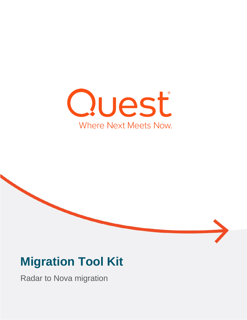



# **Migration Tool Kit**

Radar to Nova migration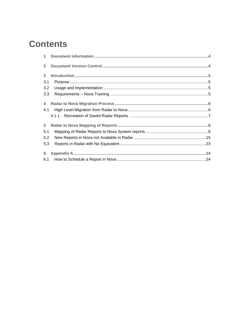# **Contents**

| $\overline{2}$ |  |
|----------------|--|
| 3 <sup>1</sup> |  |
| 3.1            |  |
| 3.2            |  |
| 3.3            |  |
| $\overline{4}$ |  |
| 4.1            |  |
|                |  |
| 5              |  |
| 5.1            |  |
| 5.2            |  |
| 5.3            |  |
| $6\phantom{1}$ |  |
| 6.1            |  |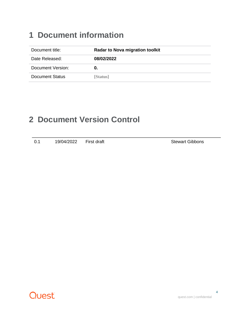## <span id="page-3-0"></span>**1 Document information**

| Document title:        | <b>Radar to Nova migration toolkit</b> |
|------------------------|----------------------------------------|
| Date Released:         | 08/02/2022                             |
| Document Version:      | O.                                     |
| <b>Document Status</b> | [Status]                               |

### <span id="page-3-1"></span>**2 Document Version Control**

| 19/04/2022<br>0.1 | First draft |
|-------------------|-------------|
|-------------------|-------------|

Stewart Gibbons

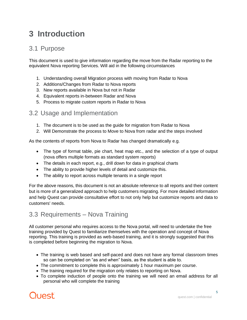# <span id="page-4-0"></span>**3 Introduction**

#### <span id="page-4-1"></span>3.1 Purpose

This document is used to give information regarding the move from the Radar reporting to the equivalent Nova reporting Services. Will aid in the following circumstances

- 1. Understanding overall Migration process with moving from Radar to Nova
- 2. Additions/Changes from Radar to Nova reports
- 3. New reports available in Nova but not in Radar
- 4. Equivalent reports in-between Radar and Nova
- 5. Process to migrate custom reports in Radar to Nova

#### <span id="page-4-2"></span>3.2 Usage and Implementation

- 1. The document is to be used as the guide for migration from Radar to Nova
- 2. Will Demonstrate the process to Move to Nova from radar and the steps involved

As the contents of reports from Nova to Radar has changed dramatically e.g.

- The type of format table, pie chart, heat map etc., and the selection of a type of output (nova offers multiple formats as standard system reports)
- The details in each report, e.g., drill down for data in graphical charts
- The ability to provide higher levels of detail and customize this.
- The ability to report across multiple tenants in a single report

For the above reasons, this document is not an absolute reference to all reports and their content but is more of a generalized approach to help customers migrating. For more detailed information and help Quest can provide consultative effort to not only help but customize reports and data to customers' needs.

#### <span id="page-4-3"></span>3.3 Requirements – Nova Training

All customer personal who requires access to the Nova portal, will need to undertake the free training provided by Quest to familiarize themselves with the operation and concept of Nova reporting. This training is provided as web-based training, and it is strongly suggested that this is completed before beginning the migration to Nova.

- The training is web based and self-paced and does not have any formal classroom times so can be completed on "as and when" basis, as the student is able to.
- The commitment to complete this is approximately 1 hour maximum per course.
- The training required for the migration only relates to reporting on Nova.
- To complete induction of people onto the training we will need an email address for all personal who will complete the training

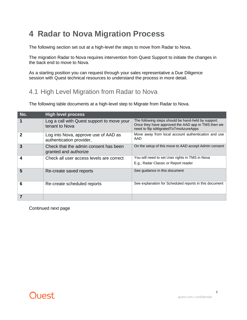# <span id="page-5-0"></span>**4 Radar to Nova Migration Process**

The following section set out at a high-level the steps to move from Radar to Nova.

The migration Radar to Nova requires intervention from Quest Support to initiate the changes in the back end to move to Nova.

As a starting position you can request through your sales representative a Due Diligence session with Quest technical resources to understand the process in more detail.

#### <span id="page-5-1"></span>4.1 High Level Migration from Radar to Nova

The following table documents at a high-level step to Migrate from Radar to Nova.

| No. | <b>High level process</b>                                        |                                                                                                                                                    |
|-----|------------------------------------------------------------------|----------------------------------------------------------------------------------------------------------------------------------------------------|
|     | Log a call with Quest support to move your<br>tenant to Nova     | The following steps should be hand-held by support.<br>Once they have approved the AAD app in TMS then we<br>need to flip isMigratedToTmsAzureApps |
|     | Log into Nova, approve use of AAD as<br>authentication provider, | Move away from local account authentication and use<br>AAD                                                                                         |
| 3   | Check that the admin consent has been<br>granted and authorize   | On the setup of this move to AAD accept Admin consent                                                                                              |
|     | Check all user access levels are correct                         | You will need to set User rights in TMS in Nova<br>E.g., Radar Classic or Report reader                                                            |
| 5   | Re-create saved reports                                          | See guidance in this document                                                                                                                      |
| 6   | Re-create scheduled reports                                      | See explanation for Scheduled reports in this document                                                                                             |
|     |                                                                  |                                                                                                                                                    |

Continued next page

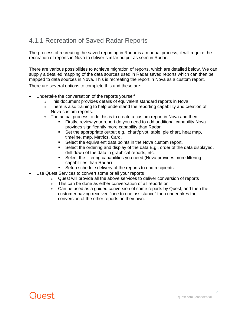### <span id="page-6-0"></span>4.1.1 Recreation of Saved Radar Reports

The process of recreating the saved reporting in Radar is a manual process, it will require the recreation of reports in Nova to deliver similar output as seen in Radar.

There are various possibilities to achieve migration of reports, which are detailed below. We can supply a detailed mapping of the data sources used in Radar saved reports which can then be mapped to data sources in Nova. This is recreating the report in Nova as a custom report.

There are several options to complete this and these are:

- Undertake the conversation of the reports yourself
	- o This document provides details of equivalent standard reports in Nova
	- o There is also training to help understand the reporting capability and creation of Nova custom reports.
	- $\circ$  The actual process to do this is to create a custom report in Nova and then
		- Firstly, review your report do you need to add additional capability Nova provides significantly more capability than Radar.
		- Set the appropriate output e.g., chart/pivot, table, pie chart, heat map, timeline, map, Metrics, Card.
		- Select the equivalent data points in the Nova custom report.<br>■ Select the ordering and display of the data F.g., order of the
		- Select the ordering and display of the data E.g., order of the data displayed, drill down of the data in graphical reports, etc.
		- Select the filtering capabilities you need (Nova provides more filtering capabilities than Radar)
		- Setup schedule delivery of the reports to end recipients.
- Use Quest Services to convert some or all your reports
	- $\circ$  Quest will provide all the above services to deliver conversion of reports
	- o This can be done as either conversation of all reports or
	- $\circ$  Can be used as a quided conversion of some reports by Quest, and then the customer having received "one to one assistance" then undertakes the conversion of the other reports on their own.

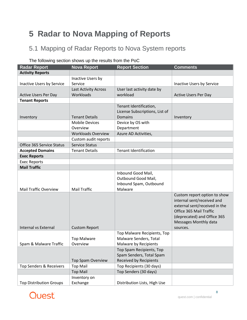# <span id="page-7-0"></span>**5 Radar to Nova Mapping of Reports**

### <span id="page-7-1"></span>5.1 Mapping of Radar Reports to Nova System reports

| <b>Radar Report</b>            | <b>Nova Report</b>          | <b>Report Section</b>          | <b>Comments</b>               |
|--------------------------------|-----------------------------|--------------------------------|-------------------------------|
| <b>Activity Reports</b>        |                             |                                |                               |
|                                | Inactive Users by           |                                |                               |
| Inactive Users by Service      | Service                     |                                | Inactive Users by Service     |
|                                | <b>Last Activity Across</b> | User last activity date by     |                               |
| <b>Active Users Per Day</b>    | Workloads                   | workload                       | <b>Active Users Per Day</b>   |
| <b>Tenant Reports</b>          |                             |                                |                               |
|                                |                             | Tenant Identification,         |                               |
|                                |                             | License Subscriptions, List of |                               |
| Inventory                      | <b>Tenant Details</b>       | Domains                        | Inventory                     |
|                                | <b>Mobile Devices</b>       | Device by OS with              |                               |
|                                | Overview                    | Department                     |                               |
|                                | <b>Workloads Overview</b>   | Azure AD Activities,           |                               |
|                                | Custom audit reports        |                                |                               |
| Office 365 Service Status      | <b>Service Status</b>       |                                |                               |
| <b>Accepted Domains</b>        | <b>Tenant Details</b>       | <b>Tenant Identification</b>   |                               |
| <b>Exec Reports</b>            |                             |                                |                               |
| <b>Exec Reports</b>            |                             |                                |                               |
| <b>Mail Traffic</b>            |                             |                                |                               |
|                                |                             | Inbound Good Mail,             |                               |
|                                |                             | Outbound Good Mail,            |                               |
|                                |                             | Inbound Spam, Outbound         |                               |
| <b>Mail Traffic Overview</b>   | <b>Mail Traffic</b>         | Malware                        |                               |
|                                |                             |                                | Custom report option to show  |
|                                |                             |                                | internal sent/received and    |
|                                |                             |                                | external sent/received in the |
|                                |                             |                                | Office 365 Mail Traffic       |
|                                |                             |                                | (deprecated) and Office 365   |
|                                |                             |                                | <b>Messages Monthly data</b>  |
| <b>Internal vs External</b>    | <b>Custom Report</b>        |                                | sources.                      |
|                                |                             | Top Malware Recipients, Top    |                               |
|                                | <b>Top Malware</b>          | Malware Senders, Total         |                               |
| Spam & Malware Traffic         | Overview                    | Malware by Recipients          |                               |
|                                |                             | Top Spam Recipients, Top       |                               |
|                                |                             | Spam Senders, Total Spam       |                               |
|                                | <b>Top Spam Overview</b>    | <b>Received by Recipients</b>  |                               |
| Top Senders & Receivers        | <b>Top Mail</b>             | Top Recipients (30 days)       |                               |
|                                | <b>Top Mail</b>             | Top Senders (30 days)          |                               |
|                                | Inventory on                |                                |                               |
| <b>Top Distribution Groups</b> | Exchange                    | Distribution Lists, High Use   |                               |

#### The following section shows up the results from the PoC

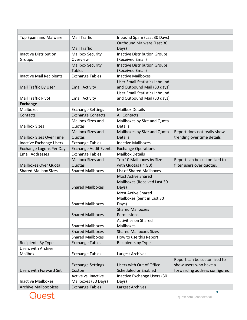| <b>Top Spam and Malware</b>     | <b>Mail Traffic</b>          | Inbound Spam (Last 30 Days)          |                                |
|---------------------------------|------------------------------|--------------------------------------|--------------------------------|
|                                 |                              | Outbound Malware (Last 30            |                                |
|                                 | <b>Mail Traffic</b>          | Days)                                |                                |
| <b>Inactive Distribution</b>    | <b>Mailbox Security</b>      | <b>Inactive Distribution Groups</b>  |                                |
| Groups                          | Overview                     | (Received Email)                     |                                |
|                                 | <b>Mailbox Security</b>      | <b>Inactive Distribution Groups</b>  |                                |
|                                 | <b>Tables</b>                | (Received Email)                     |                                |
| <b>Inactive Mail Recipients</b> | <b>Exchange Tables</b>       | <b>Inactive Mailboxes</b>            |                                |
|                                 |                              | <b>User Email Statistics Inbound</b> |                                |
| Mail Traffic By User            | <b>Email Activity</b>        | and Outbound Mail (30 days)          |                                |
|                                 |                              | User Email Statistics Inbound        |                                |
| <b>Mail Traffic Pivot</b>       | <b>Email Activity</b>        | and Outbound Mail (30 days)          |                                |
| <b>Exchange</b>                 |                              |                                      |                                |
| <b>Mailboxes</b>                | <b>Exchange Settings</b>     | <b>Mailbox Details</b>               |                                |
| Contacts                        | <b>Exchange Contacts</b>     | <b>All Contacts</b>                  |                                |
|                                 | Mailbox Sizes and            | Mailboxes by Size and Quota          |                                |
| <b>Mailbox Sizes</b>            | Quotas                       | Details                              |                                |
|                                 | <b>Mailbox Sizes and</b>     | Mailboxes by Size and Quota          | Report does not really show    |
| <b>Mailbox Sizes Over Time</b>  | Quotas                       | <b>Details</b>                       | trending over time details     |
| Inactive Exchange Users         | <b>Exchange Tables</b>       | <b>Inactive Mailboxes</b>            |                                |
| Exchange Logons Per Day         | <b>Exchange Audit Events</b> | <b>Exchange Operations</b>           |                                |
| <b>Email Addresses</b>          | <b>Exchange Tables</b>       | <b>Mailbox Details</b>               |                                |
|                                 | Mailbox Sizes and            | Top 10 Mailboxes by Size             | Report can be customized to    |
| <b>Mailboxes Over Quota</b>     | Quotas                       | with Quotas (in GB)                  | filter users over quotas.      |
| <b>Shared Mailbox Sizes</b>     | <b>Shared Mailboxes</b>      | <b>List of Shared Mailboxes</b>      |                                |
|                                 |                              | <b>Most Active Shared</b>            |                                |
|                                 | <b>Shared Mailboxes</b>      | Mailboxes (Received Last 30<br>Days) |                                |
|                                 |                              | <b>Most Active Shared</b>            |                                |
|                                 |                              | Mailboxes (Sent in Last 30           |                                |
|                                 | <b>Shared Mailboxes</b>      | Days)                                |                                |
|                                 |                              | <b>Shared Mailboxes</b>              |                                |
|                                 | <b>Shared Mailboxes</b>      | Permissions                          |                                |
|                                 |                              | <b>Activities on Shared</b>          |                                |
|                                 | <b>Shared Mailboxes</b>      | <b>Mailboxes</b>                     |                                |
|                                 | <b>Shared Mailboxes</b>      | <b>Shared Mailboxes Sizes</b>        |                                |
|                                 | <b>Shared Mailboxes</b>      | How to use this Report               |                                |
| Recipients By Type              | <b>Exchange Tables</b>       | Recipients by Type                   |                                |
| <b>Users with Archive</b>       |                              |                                      |                                |
| Mailbox                         | <b>Exchange Tables</b>       | Largest Archives                     |                                |
|                                 |                              |                                      | Report can be customized to    |
|                                 | <b>Exchange Settings -</b>   | Users with Out of Office             | show users who have a          |
| <b>Users with Forward Set</b>   | Custom                       | Scheduled or Enabled                 | forwarding address configured. |
|                                 | Active vs. Inactive          | Inactive Exchange Users (30          |                                |
| <b>Inactive Mailboxes</b>       | Mailboxes (30 Days)          | Days)                                |                                |
| <b>Archive Mailbox Sizes</b>    | <b>Exchange Tables</b>       | Largest Archives                     |                                |

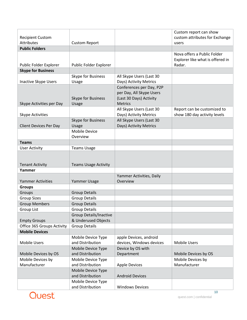|                                              |                                        |                          | Custom report can show                  |
|----------------------------------------------|----------------------------------------|--------------------------|-----------------------------------------|
| <b>Recipient Custom</b><br><b>Attributes</b> |                                        |                          | custom attributes for Exchange<br>users |
| <b>Public Folders</b>                        | <b>Custom Report</b>                   |                          |                                         |
|                                              |                                        |                          | Nova offers a Public Folder             |
|                                              |                                        |                          | Explorer like what is offered in        |
| Public Folder Explorer                       | Public Folder Explorer                 |                          | Radar.                                  |
| <b>Skype for Business</b>                    |                                        |                          |                                         |
|                                              | Skype for Business                     | All Skype Users (Last 30 |                                         |
| <b>Inactive Skype Users</b>                  | Usage                                  | Days) Activity Metrics   |                                         |
|                                              |                                        | Conferences per Day, P2P |                                         |
|                                              |                                        | per Day, All Skype Users |                                         |
|                                              | Skype for Business                     | (Last 30 Days) Activity  |                                         |
| Skype Activities per Day                     | Usage                                  | <b>Metrics</b>           |                                         |
|                                              |                                        | All Skype Users (Last 30 | Report can be customized to             |
| <b>Skype Activities</b>                      |                                        | Days) Activity Metrics   | show 180 day activity levels            |
|                                              | Skype for Business                     | All Skype Users (Last 30 |                                         |
| <b>Client Devices Per Day</b>                | Usage                                  | Days) Activity Metrics   |                                         |
|                                              | <b>Mobile Device</b>                   |                          |                                         |
| <b>Teams</b>                                 | Overview                               |                          |                                         |
| <b>User Activity</b>                         | <b>Teams Usage</b>                     |                          |                                         |
|                                              |                                        |                          |                                         |
|                                              |                                        |                          |                                         |
| <b>Tenant Activity</b>                       | <b>Teams Usage Activity</b>            |                          |                                         |
| Yammer                                       |                                        |                          |                                         |
|                                              |                                        | Yammer Activities, Daily |                                         |
| <b>Yammer Activities</b>                     | Yammer Usage                           | Overview                 |                                         |
| <b>Groups</b>                                |                                        |                          |                                         |
| Groups                                       | <b>Group Details</b>                   |                          |                                         |
| <b>Group Sizes</b>                           | <b>Group Details</b>                   |                          |                                         |
| <b>Group Members</b>                         | <b>Group Details</b>                   |                          |                                         |
| Group List                                   | <b>Group Details</b>                   |                          |                                         |
|                                              | <b>Group Details/Inactive</b>          |                          |                                         |
| <b>Empty Groups</b>                          | & Underused Objects                    |                          |                                         |
| Office 365 Groups Activity                   | <b>Group Details</b>                   |                          |                                         |
| <b>Mobile Devices</b>                        |                                        |                          |                                         |
|                                              | Mobile Device Type                     | apple Devices, android   |                                         |
| <b>Mobile Users</b>                          | and Distribution                       | devices, Windows devices | <b>Mobile Users</b>                     |
|                                              | Mobile Device Type                     | Device by OS with        |                                         |
| Mobile Devices by OS                         | and Distribution                       | Department               | Mobile Devices by OS                    |
| Mobile Devices by                            | Mobile Device Type                     |                          | Mobile Devices by                       |
| Manufacturer                                 | and Distribution                       | <b>Apple Devices</b>     | Manufacturer                            |
|                                              | Mobile Device Type                     |                          |                                         |
|                                              | and Distribution                       | <b>Android Devices</b>   |                                         |
|                                              | Mobile Device Type<br>and Distribution | <b>Windows Devices</b>   |                                         |
|                                              |                                        |                          |                                         |

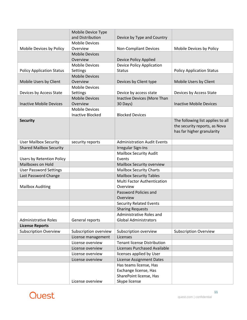|                                  | Mobile Device Type<br>and Distribution | Device by Type and Country         |                                   |
|----------------------------------|----------------------------------------|------------------------------------|-----------------------------------|
|                                  | <b>Mobile Devices</b>                  |                                    |                                   |
| Mobile Devices by Policy         | Overview                               | <b>Non-Compliant Devices</b>       | Mobile Devices by Policy          |
|                                  | <b>Mobile Devices</b>                  |                                    |                                   |
|                                  | Overview                               | Device Policy Applied              |                                   |
|                                  | <b>Mobile Devices</b>                  | <b>Device Policy Application</b>   |                                   |
| <b>Policy Application Status</b> | Settings                               | <b>Status</b>                      | <b>Policy Application Status</b>  |
|                                  | <b>Mobile Devices</b>                  |                                    |                                   |
| Mobile Users by Client           | Overview                               | Devices by Client type             | Mobile Users by Client            |
|                                  | <b>Mobile Devices</b>                  |                                    |                                   |
| Devices by Access State          | Settings                               | Device by access state             | Devices by Access State           |
|                                  | <b>Mobile Devices</b>                  | Inactive Devices (More Than        |                                   |
| <b>Inactive Mobile Devices</b>   | Overview                               | 30 Days)                           | <b>Inactive Mobile Devices</b>    |
|                                  | <b>Mobile Devices</b>                  |                                    |                                   |
|                                  | <b>Inactive Blocked</b>                | <b>Blocked Devices</b>             |                                   |
| <b>Security</b>                  |                                        |                                    | The following list applies to all |
|                                  |                                        |                                    | the security reports, as Nova     |
|                                  |                                        |                                    | has far higher granularity        |
|                                  |                                        |                                    |                                   |
| <b>User Mailbox Security</b>     | security reports                       | <b>Administration Audit Events</b> |                                   |
| <b>Shared Mailbox Security</b>   |                                        | <b>Irregular Sign-Ins</b>          |                                   |
|                                  |                                        | <b>Mailbox Security Audit</b>      |                                   |
| <b>Users by Retention Policy</b> |                                        | Events                             |                                   |
| Mailboxes on Hold                |                                        | Mailbox Security overview          |                                   |
| <b>User Password Settings</b>    |                                        | <b>Mailbox Security Charts</b>     |                                   |
| Last Password Change             |                                        | <b>Mailbox Security Tables</b>     |                                   |
|                                  |                                        | <b>Multi Factor Authentication</b> |                                   |
| <b>Mailbox Auditing</b>          |                                        | Overview                           |                                   |
|                                  |                                        | Password Policies and              |                                   |
|                                  |                                        | Overview                           |                                   |
|                                  |                                        | <b>Security Related Events</b>     |                                   |
|                                  |                                        | <b>Sharing Requests</b>            |                                   |
|                                  |                                        | Administrative Roles and           |                                   |
| <b>Administrative Roles</b>      | General reports                        | <b>Global Administrators</b>       |                                   |
| <b>License Reports</b>           |                                        |                                    |                                   |
| <b>Subscription Overview</b>     | Subscription overview                  | Subscription overview              | <b>Subscription Overview</b>      |
|                                  | License management                     | Licenses                           |                                   |
|                                  | License overview                       | <b>Tenant license Distribution</b> |                                   |
|                                  | License overview                       | Licenses Purchased Available       |                                   |
|                                  | License overview                       | licenses applied by User           |                                   |
|                                  | License overview                       | <b>License Assignment Dates</b>    |                                   |
|                                  |                                        | Has teams license, Has             |                                   |
|                                  |                                        | Exchange license, Has              |                                   |
|                                  |                                        | SharePoint license, Has            |                                   |
|                                  | License overview                       | Skype license                      |                                   |

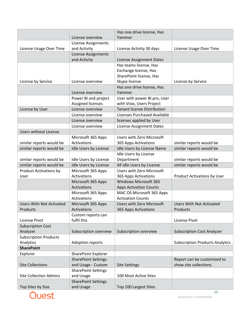|                                 | License overview                        | Has one drive license, Has<br>Yammer |                                        |
|---------------------------------|-----------------------------------------|--------------------------------------|----------------------------------------|
|                                 |                                         |                                      |                                        |
| License Usage Over Time         | License Assignments<br>and Activity     | License Activity 30 days             | License Usage Over Time                |
|                                 | <b>License Assignments</b>              |                                      |                                        |
|                                 | and Activity                            | License Assignment Dates             |                                        |
|                                 |                                         | Has teams license, Has               |                                        |
|                                 |                                         | Exchange license, Has                |                                        |
|                                 |                                         | SharePoint license, Has              |                                        |
| License by Service              | License overview                        | Skype license                        | License by Service                     |
|                                 |                                         | Has one drive license, Has           |                                        |
|                                 | License overview                        | Yammer                               |                                        |
|                                 | Power BI and project                    | User with power BI pro, User         |                                        |
|                                 | Assigned licenses                       | with Visio, Users Project            |                                        |
| License by User                 | License overview                        | <b>Tenant license Distribution</b>   |                                        |
|                                 | License overview                        | Licenses Purchased Available         |                                        |
|                                 | License overview                        | licenses applied by User             |                                        |
|                                 | License overview                        | <b>License Assignment Dates</b>      |                                        |
| <b>Users without License</b>    |                                         |                                      |                                        |
|                                 | Microsoft 365 Apps                      | Users with Zero Microsoft            |                                        |
| similar reports would be        | Activations                             | 365 Apps Activations                 | similar reports would be               |
| similar reports would be        | Idle Users by License                   | Idle Users by License Name           | similar reports would be               |
|                                 |                                         | Idle Users by License                |                                        |
| similar reports would be        | Idle Users by License                   | Department                           | similar reports would be               |
| similar reports would be        | Idle Users by License                   | All Idle Users by License            | similar reports would be               |
| <b>Product Activations by</b>   | Microsoft 365 Apps                      | <b>Users with Zero Microsoft</b>     |                                        |
| User                            | Activations                             | 365 Apps Activations                 | Product Activations by User            |
|                                 | Microsoft 365 Apps                      | <b>Windows Microsoft 365</b>         |                                        |
|                                 | Activations                             | <b>Apps Activation Counts</b>        |                                        |
|                                 | Microsoft 365 Apps                      | MAC OS Microsoft 365 Apps            |                                        |
|                                 | Activations                             | <b>Activation Counts</b>             |                                        |
| <b>Users With Not Activated</b> | Microsoft 365 Apps                      | <b>Users with Zero Microsoft</b>     | <b>Users With Not Activated</b>        |
| Products                        | Activations                             | 365 Apps Activations                 | Products                               |
|                                 | Custom reports can                      |                                      |                                        |
| License Pivot                   | fulfil this                             |                                      | License Pivot                          |
| <b>Subscription Cost</b>        |                                         |                                      |                                        |
| Analyzer                        | Subscription overview                   | Subscription overview                | <b>Subscription Cost Analyzer</b>      |
| <b>Subscription Products</b>    |                                         |                                      |                                        |
| Analytics                       | Adoption reports                        |                                      | <b>Subscription Products Analytics</b> |
| <b>SharePoint</b>               |                                         |                                      |                                        |
| Explorer                        | SharePoint Explorer                     |                                      |                                        |
|                                 | <b>SharePoint Settings</b>              |                                      | Report can be customized to            |
| <b>Site Collections</b>         | and Usage - Custom                      | <b>Site Settings</b>                 | show site collections.                 |
|                                 |                                         |                                      |                                        |
| <b>Site Collection Admins</b>   | <b>SharePoint Settings</b><br>and Usage | 100 Most Active Sites                |                                        |
|                                 |                                         |                                      |                                        |
|                                 | <b>SharePoint Settings</b>              |                                      |                                        |
| Top Sites by Size               | and Usage                               | Top 100 Largest Sites                |                                        |



12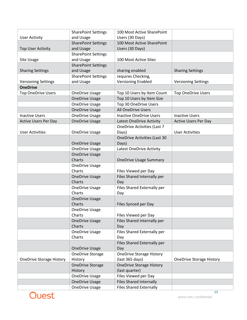|                                 | <b>SharePoint Settings</b> | 100 Most Active SharePoint          |                                 |
|---------------------------------|----------------------------|-------------------------------------|---------------------------------|
| <b>User Activity</b>            | and Usage                  | Users (30 Days)                     |                                 |
|                                 | <b>SharePoint Settings</b> | 100 Most Active SharePoint          |                                 |
| <b>Top User Activity</b>        | and Usage                  | Users (30 Days)                     |                                 |
|                                 | <b>SharePoint Settings</b> |                                     |                                 |
| Site Usage                      | and Usage                  | 100 Most Active Sites               |                                 |
|                                 | <b>SharePoint Settings</b> |                                     |                                 |
| <b>Sharing Settings</b>         | and Usage                  | sharing enabled                     | <b>Sharing Settings</b>         |
|                                 | <b>SharePoint Settings</b> | requires Checking,                  |                                 |
| <b>Versioning Settings</b>      | and Usage                  | <b>Versioning Enabled</b>           | <b>Versioning Settings</b>      |
| <b>OneDrive</b>                 |                            |                                     |                                 |
| <b>Top OneDrive Users</b>       | <b>OneDrive Usage</b>      | Top 10 Users by Item Count          | <b>Top OneDrive Users</b>       |
|                                 | <b>OneDrive Usage</b>      | Top 10 Users by Item Size           |                                 |
|                                 | <b>OneDrive Usage</b>      | Top 30 OneDrive Users               |                                 |
|                                 | <b>OneDrive Usage</b>      | <b>All OneDrive Users</b>           |                                 |
| <b>Inactive Users</b>           | <b>OneDrive Usage</b>      | <b>Inactive OneDrive Users</b>      | <b>Inactive Users</b>           |
| <b>Active Users Per Day</b>     | <b>OneDrive Usage</b>      | <b>Latest OneDrive Activity</b>     | <b>Active Users Per Day</b>     |
|                                 |                            | <b>OneDrive Activities (Last 7</b>  |                                 |
| <b>User Activities</b>          | <b>OneDrive Usage</b>      | Days)                               | <b>User Activities</b>          |
|                                 |                            | <b>OneDrive Activities (Last 30</b> |                                 |
|                                 | <b>OneDrive Usage</b>      | Days)                               |                                 |
|                                 | <b>OneDrive Usage</b>      | Latest OneDrive Activity            |                                 |
|                                 | <b>OneDrive Usage</b>      |                                     |                                 |
|                                 | Charts                     | <b>OneDrive Usage Summary</b>       |                                 |
|                                 | <b>OneDrive Usage</b>      |                                     |                                 |
|                                 | Charts                     | Files Viewed per Day                |                                 |
|                                 | <b>OneDrive Usage</b>      | Files Shared Internally per         |                                 |
|                                 | Charts                     | Day                                 |                                 |
|                                 | <b>OneDrive Usage</b>      | Files Shared Externally per         |                                 |
|                                 | Charts                     | Day                                 |                                 |
|                                 | <b>OneDrive Usage</b>      |                                     |                                 |
|                                 | Charts                     | Files Synced per Day                |                                 |
|                                 | <b>OneDrive Usage</b>      |                                     |                                 |
|                                 | Charts                     | Files Viewed per Day                |                                 |
|                                 | <b>OneDrive Usage</b>      | Files Shared Internally per         |                                 |
|                                 | Charts                     | Day                                 |                                 |
|                                 | <b>OneDrive Usage</b>      | Files Shared Externally per         |                                 |
|                                 | Charts                     | Day                                 |                                 |
|                                 |                            | Files Shared Externally per         |                                 |
|                                 | <b>OneDrive Usage</b>      | Day                                 |                                 |
|                                 | OneDrive Storage           | <b>OneDrive Storage History</b>     |                                 |
| <b>OneDrive Storage History</b> | History                    | (last 365 days)                     | <b>OneDrive Storage History</b> |
|                                 | <b>OneDrive Storage</b>    | <b>OneDrive Storage History</b>     |                                 |
|                                 | History                    | (last quarter)                      |                                 |
|                                 | <b>OneDrive Usage</b>      | Files Viewed per Day                |                                 |
|                                 | <b>OneDrive Usage</b>      | <b>Files Shared Internally</b>      |                                 |
|                                 | <b>OneDrive Usage</b>      | <b>Files Shared Externally</b>      |                                 |



13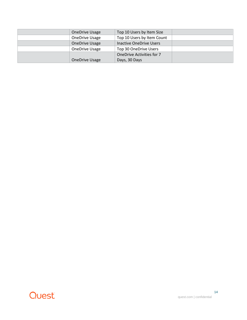| <b>OneDrive Usage</b> | Top 10 Users by Item Size        |  |
|-----------------------|----------------------------------|--|
| OneDrive Usage        | Top 10 Users by Item Count       |  |
| <b>OneDrive Usage</b> | <b>Inactive OneDrive Users</b>   |  |
| OneDrive Usage        | Top 30 OneDrive Users            |  |
|                       | <b>OneDrive Activities for 7</b> |  |
| <b>OneDrive Usage</b> | Days, 30 Days                    |  |

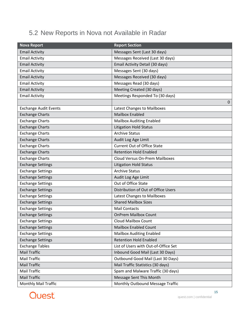### <span id="page-14-0"></span>5.2 New Reports in Nova not Available in Radar

| <b>Nova Report</b>           | <b>Report Section</b>                 |
|------------------------------|---------------------------------------|
| <b>Email Activity</b>        | Messages Sent (Last 30 days)          |
| <b>Email Activity</b>        | Messages Received (Last 30 days)      |
| <b>Email Activity</b>        | Email Activity Detail (30 days)       |
| <b>Email Activity</b>        | Messages Sent (30 days)               |
| <b>Email Activity</b>        | Messages Received (30 days)           |
| <b>Email Activity</b>        | Messages Read (30 days)               |
| <b>Email Activity</b>        | Meeting Created (30 days)             |
| <b>Email Activity</b>        | Meetings Responded To (30 days)       |
|                              | 0                                     |
| <b>Exchange Audit Events</b> | Latest Changes to Mailboxes           |
| <b>Exchange Charts</b>       | <b>Mailbox Enabled</b>                |
| <b>Exchange Charts</b>       | <b>Mailbox Auditing Enabled</b>       |
| <b>Exchange Charts</b>       | <b>Litigation Hold Status</b>         |
| <b>Exchange Charts</b>       | <b>Archive Status</b>                 |
| <b>Exchange Charts</b>       | Audit Log Age Limit                   |
| <b>Exchange Charts</b>       | <b>Current Out of Office State</b>    |
| <b>Exchange Charts</b>       | <b>Retention Hold Enabled</b>         |
| <b>Exchange Charts</b>       | <b>Cloud Versus On-Prem Mailboxes</b> |
| <b>Exchange Settings</b>     | <b>Litigation Hold Status</b>         |
| <b>Exchange Settings</b>     | <b>Archive Status</b>                 |
| <b>Exchange Settings</b>     | Audit Log Age Limit                   |
| <b>Exchange Settings</b>     | Out of Office State                   |
| <b>Exchange Settings</b>     | Distribution of Out of Office Users   |
| <b>Exchange Settings</b>     | Latest Changes to Mailboxes           |
| <b>Exchange Settings</b>     | <b>Shared Mailbox Sizes</b>           |
| <b>Exchange Settings</b>     | <b>Mail Contacts</b>                  |
| <b>Exchange Settings</b>     | <b>OnPrem Mailbox Count</b>           |
| <b>Exchange Settings</b>     | <b>Cloud Mailbox Count</b>            |
| <b>Exchange Settings</b>     | <b>Mailbox Enabled Count</b>          |
| <b>Exchange Settings</b>     | <b>Mailbox Auditing Enabled</b>       |
| <b>Exchange Settings</b>     | <b>Retention Hold Enabled</b>         |
| <b>Exchange Tables</b>       | List of Users with Out-of-Office Set  |
| Mail Traffic                 | Inbound Good Mail (Last 30 Days)      |
| <b>Mail Traffic</b>          | Outbound Good Mail (Last 30 Days)     |
| <b>Mail Traffic</b>          | Mail Traffic Statistics (30 days)     |
| Mail Traffic                 | Spam and Malware Traffic (30 days)    |
| <b>Mail Traffic</b>          | Message Sent This Month               |
| Monthly Mail Traffic         | Monthly Outbound Message Traffic      |

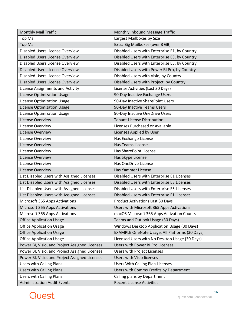| <b>Monthly Mail Traffic</b>                    | Monthly Inbound Message Traffic                       |  |  |
|------------------------------------------------|-------------------------------------------------------|--|--|
| <b>Top Mail</b>                                | Largest Mailboxes by Size                             |  |  |
| <b>Top Mail</b>                                | Extra Big Mailboxes (over 3 GB)                       |  |  |
| Disabled Users License Overview                | Disabled Users with Enterprise E1, by Country         |  |  |
| Disabled Users License Overview                | Disabled Users with Enterprise E3, by Country         |  |  |
| Disabled Users License Overview                | Disabled Users with Enterprise E5, by Country         |  |  |
| <b>Disabled Users License Overview</b>         | Disabled Users with Power BI Pro, by Country          |  |  |
| Disabled Users License Overview                | Disabled Users with Visio, by Country                 |  |  |
| Disabled Users License Overview                | Disabled Users with Project, by Country               |  |  |
| License Assignments and Activity               | License Activities (Last 30 Days)                     |  |  |
| <b>License Optimization Usage</b>              | 90-Day Inactive Exchange Users                        |  |  |
| <b>License Optimization Usage</b>              | 90-Day Inactive SharePoint Users                      |  |  |
| License Optimization Usage                     | 90-Day Inactive Teams Users                           |  |  |
| <b>License Optimization Usage</b>              | 90-Day Inactive OneDrive Users                        |  |  |
| License Overview                               | <b>Tenant License Distribution</b>                    |  |  |
| License Overview                               | Licenses Purchased or Available                       |  |  |
| License Overview                               | Licenses Applied by User                              |  |  |
| License Overview                               | Has Exchange License                                  |  |  |
| License Overview                               | Has Teams License                                     |  |  |
| License Overview                               | Has SharePoint License                                |  |  |
| License Overview                               | Has Skype License                                     |  |  |
| License Overview                               | Has OneDrive License                                  |  |  |
| License Overview                               | Has Yammer License                                    |  |  |
| List Disabled Users with Assigned Licenses     | Disabled Users with Enterprise E1 Licenses            |  |  |
| List Disabled Users with Assigned Licenses     | Disabled Users with Enterprise E3 Licenses            |  |  |
| List Disabled Users with Assigned Licenses     | Disabled Users with Enterprise E5 Licenses            |  |  |
| List Disabled Users with Assigned Licenses     | Disabled Users with Enterprise F1 Licenses            |  |  |
| Microsoft 365 Apps Activations                 | <b>Product Activations Last 30 Days</b>               |  |  |
| Microsoft 365 Apps Activations                 | Users with Microsoft 365 Apps Activations             |  |  |
| Microsoft 365 Apps Activations                 | macOS Microsoft 365 Apps Activation Counts            |  |  |
| <b>Office Application Usage</b>                | Teams and Outlook Usage (30 Days)                     |  |  |
| <b>Office Application Usage</b>                | Windows Desktop Application Usage (30 Days)           |  |  |
| <b>Office Application Usage</b>                | <b>EXAMPLE OneNote Usage, All Platforms (30 Days)</b> |  |  |
| <b>Office Application Usage</b>                | Licensed Users with No Desktop Usage (30 Days)        |  |  |
| Power BI, Visio, and Project Assigned Licenses | Users with Power BI Pro Licenses                      |  |  |
| Power BI, Visio, and Project Assigned Licenses | <b>Users with Project Licenses</b>                    |  |  |
| Power BI, Visio, and Project Assigned Licenses | Users with Visio licenses                             |  |  |
| <b>Users with Calling Plans</b>                | <b>Users With Calling Plan Licenses</b>               |  |  |
| <b>Users with Calling Plans</b>                | Users with Comms Credits by Department                |  |  |
| <b>Users with Calling Plans</b>                | Calling plans by Department                           |  |  |
| <b>Administration Audit Events</b>             | <b>Recent License Activities</b>                      |  |  |

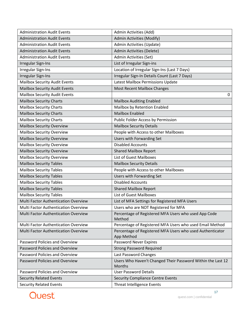| <b>Administration Audit Events</b>   | Admin Activities (Add)                                                  |  |  |
|--------------------------------------|-------------------------------------------------------------------------|--|--|
| <b>Administration Audit Events</b>   | Admin Activities (Modify)                                               |  |  |
| <b>Administration Audit Events</b>   | Admin Activities (Update)                                               |  |  |
| <b>Administration Audit Events</b>   | Admin Activities (Delete)                                               |  |  |
| <b>Administration Audit Events</b>   | Admin Activities (Set)                                                  |  |  |
| <b>Irregular Sign-Ins</b>            | List of Irregular Sign-ins                                              |  |  |
| <b>Irregular Sign-Ins</b>            | Location of Irregular Sign-Ins (Last 7 Days)                            |  |  |
| <b>Irregular Sign-Ins</b>            | Irregular Sign-In Details Count (Last 7 Days)                           |  |  |
| <b>Mailbox Security Audit Events</b> | Latest Mailbox Permissions Update                                       |  |  |
| <b>Mailbox Security Audit Events</b> | Most Recent Mailbox Changes                                             |  |  |
| <b>Mailbox Security Audit Events</b> | 0                                                                       |  |  |
| <b>Mailbox Security Charts</b>       | <b>Mailbox Auditing Enabled</b>                                         |  |  |
| <b>Mailbox Security Charts</b>       | Mailbox by Retention Enabled                                            |  |  |
| <b>Mailbox Security Charts</b>       | <b>Mailbox Enabled</b>                                                  |  |  |
| <b>Mailbox Security Charts</b>       | Public Folder Access by Permission                                      |  |  |
| <b>Mailbox Security Overview</b>     | <b>Mailbox Security Details</b>                                         |  |  |
| <b>Mailbox Security Overview</b>     | People with Access to other Mailboxes                                   |  |  |
| <b>Mailbox Security Overview</b>     | Users with Forwarding Set                                               |  |  |
| <b>Mailbox Security Overview</b>     | <b>Disabled Accounts</b>                                                |  |  |
| <b>Mailbox Security Overview</b>     | <b>Shared Mailbox Report</b>                                            |  |  |
| <b>Mailbox Security Overview</b>     | <b>List of Guest Mailboxes</b>                                          |  |  |
| <b>Mailbox Security Tables</b>       | <b>Mailbox Security Details</b>                                         |  |  |
| <b>Mailbox Security Tables</b>       | People with Access to other Mailboxes                                   |  |  |
| <b>Mailbox Security Tables</b>       | Users with Forwarding Set                                               |  |  |
| <b>Mailbox Security Tables</b>       | <b>Disabled Accounts</b>                                                |  |  |
| <b>Mailbox Security Tables</b>       | <b>Shared Mailbox Report</b>                                            |  |  |
| <b>Mailbox Security Tables</b>       | List of Guest Mailboxes                                                 |  |  |
| Multi Factor Authentication Overview | List of MFA Settings for Registered MFA Users                           |  |  |
| Multi Factor Authentication Overview | Users who are NOT Registered for MFA                                    |  |  |
| Multi Factor Authentication Overview | Percentage of Registered MFA Users who used App Code<br>Method          |  |  |
| Multi Factor Authentication Overview | Percentage of Registered MFA Users who used Email Method                |  |  |
| Multi Factor Authentication Overview | Percentage of Registered MFA Users who used Authenticator<br>App Method |  |  |
| Password Policies and Overview       | Password Never Expires                                                  |  |  |
| Password Policies and Overview       | <b>Strong Password Required</b>                                         |  |  |
| Password Policies and Overview       | Last Password Changes                                                   |  |  |
| Password Policies and Overview       | Users Who Haven't Changed Their Password Within the Last 12<br>Months   |  |  |
| Password Policies and Overview       | <b>User Password Details</b>                                            |  |  |
| <b>Security Related Events</b>       | <b>Security Compliance Centre Events</b>                                |  |  |
| <b>Security Related Events</b>       | Threat Intelligence Events                                              |  |  |

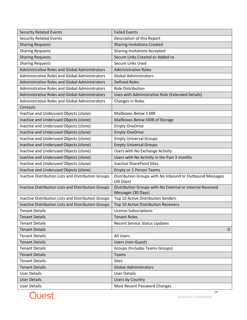| <b>Security Related Events</b>                        | <b>Failed Events</b>                                                            |  |
|-------------------------------------------------------|---------------------------------------------------------------------------------|--|
| <b>Security Related Events</b>                        | Description of this Report                                                      |  |
| <b>Sharing Requests</b>                               | <b>Sharing Invitations Created</b>                                              |  |
| <b>Sharing Requests</b>                               | <b>Sharing Invitations Accepted</b>                                             |  |
| <b>Sharing Requests</b>                               | Secure Links Created or Added to                                                |  |
| <b>Sharing Requests</b>                               | Secure Links Used                                                               |  |
| <b>Administrative Roles and Global Administrators</b> | <b>Administrative Roles</b>                                                     |  |
| <b>Administrative Roles and Global Administrators</b> | <b>Global Administrators</b>                                                    |  |
| <b>Administrative Roles and Global Administrators</b> | <b>Defined Roles</b>                                                            |  |
| <b>Administrative Roles and Global Administrators</b> | <b>Role Distribution</b>                                                        |  |
| <b>Administrative Roles and Global Administrators</b> | Uses with Administrative Role (Extended Details)                                |  |
| <b>Administrative Roles and Global Administrators</b> | Changes in Roles                                                                |  |
| Contacts                                              |                                                                                 |  |
| Inactive and Underused Objects (clone)                | Mailboxes Below 5 MB                                                            |  |
| Inactive and Underused Objects (clone)                | Mailboxes Below 5MB of Storage                                                  |  |
| Inactive and Underused Objects (clone)                | <b>Empty OneDrive</b>                                                           |  |
| Inactive and Underused Objects (clone)                | <b>Empty OneDrive</b>                                                           |  |
| Inactive and Underused Objects (clone)                | <b>Empty Universal Groups</b>                                                   |  |
| Inactive and Underused Objects (clone)                | <b>Empty Universal Groups</b>                                                   |  |
| Inactive and Underused Objects (clone)                | Users with No Exchange Activity                                                 |  |
| Inactive and Underused Objects (clone)                | Users with No Activity in the Past 3 months                                     |  |
| Inactive and Underused Objects (clone)                | <b>Inactive SharePoint Sites</b>                                                |  |
| Inactive and Underused Objects (clone)                | <b>Empty or 1 Person Teams</b>                                                  |  |
| Inactive Distribution Lists and Distribution Groups   | Distribution Groups with No Inbound or Outbound Messages<br>$(30 \text{ Days})$ |  |
| Inactive Distribution Lists and Distribution Groups   | Distribution Groups with No External or Internal Received<br>Messages (30 Days) |  |
| Inactive Distribution Lists and Distribution Groups   | Top 10 Active Distribution Senders                                              |  |
| Inactive Distribution Lists and Distribution Groups   | Top 10 Active Distribution Receivers                                            |  |
| <b>Tenant Details</b>                                 | License Subscriptions                                                           |  |
| <b>Tenant Details</b>                                 | <b>Tenant Roles</b>                                                             |  |
| <b>Tenant Details</b>                                 | <b>Recent Service Status Updates</b>                                            |  |
| <b>Tenant Details</b>                                 | $\Omega$                                                                        |  |
| <b>Tenant Details</b>                                 | All Users                                                                       |  |
| <b>Tenant Details</b>                                 | Users (non-Guest)                                                               |  |
| <b>Tenant Details</b>                                 | <b>Groups (Includes Teams Groups)</b>                                           |  |
| <b>Tenant Details</b>                                 | Teams                                                                           |  |
| <b>Tenant Details</b>                                 | <b>Sites</b>                                                                    |  |
| <b>Tenant Details</b>                                 | <b>Global Administrators</b>                                                    |  |
| <b>User Details</b>                                   | <b>User Details</b>                                                             |  |
| <b>User Details</b>                                   | Users by Country                                                                |  |
| <b>User Details</b>                                   | Most Recent Password Changes                                                    |  |

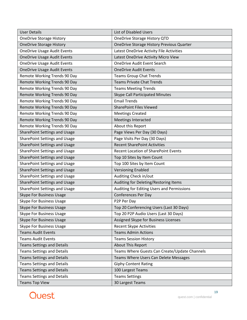| <b>User Details</b>                  | <b>List of Disabled Users</b>                    |  |  |
|--------------------------------------|--------------------------------------------------|--|--|
| <b>OneDrive Storage History</b>      | OneDrive Storage History QTD                     |  |  |
| <b>OneDrive Storage History</b>      | <b>OneDrive Storage History Previous Quarter</b> |  |  |
| <b>OneDrive Usage Audit Events</b>   | Latest OneDrive Activity File Activities         |  |  |
| <b>OneDrive Usage Audit Events</b>   | Latest OneDrive Activity Micro View              |  |  |
| <b>OneDrive Usage Audit Events</b>   | <b>OneDrive Audit Event Search</b>               |  |  |
| <b>OneDrive Usage Audit Events</b>   | <b>OneDrive Audit Events</b>                     |  |  |
| Remote Working Trends 90 Day         | <b>Teams Group Chat Trends</b>                   |  |  |
| Remote Working Trends 90 Day         | <b>Teams Private Chat Trends</b>                 |  |  |
| Remote Working Trends 90 Day         | <b>Teams Meeting Trends</b>                      |  |  |
| Remote Working Trends 90 Day         | <b>Skype Call Participated Minutes</b>           |  |  |
| Remote Working Trends 90 Day         | <b>Email Trends</b>                              |  |  |
| Remote Working Trends 90 Day         | <b>SharePoint Files Viewed</b>                   |  |  |
| Remote Working Trends 90 Day         | <b>Meetings Created</b>                          |  |  |
| Remote Working Trends 90 Day         | <b>Meetings Interacted</b>                       |  |  |
| Remote Working Trends 90 Day         | About this Report                                |  |  |
| SharePoint Settings and Usage        | Page Views Per Day (30 Days)                     |  |  |
| SharePoint Settings and Usage        | Page Visits Per Day (30 Days)                    |  |  |
| <b>SharePoint Settings and Usage</b> | <b>Recent SharePoint Activities</b>              |  |  |
| SharePoint Settings and Usage        | <b>Recent Location of SharePoint Events</b>      |  |  |
| <b>SharePoint Settings and Usage</b> | Top 10 Sites by Item Count                       |  |  |
| <b>SharePoint Settings and Usage</b> | Top 100 Sites by Item Count                      |  |  |
| SharePoint Settings and Usage        | <b>Versioning Enabled</b>                        |  |  |
| <b>SharePoint Settings and Usage</b> | Auditing Check in/out                            |  |  |
| <b>SharePoint Settings and Usage</b> | Auditing for Deleting/Restoring Items            |  |  |
| SharePoint Settings and Usage        | Auditing for Editing Users and Permissions       |  |  |
| <b>Skype For Business Usage</b>      | <b>Conferences Per Day</b>                       |  |  |
| <b>Skype For Business Usage</b>      | P2P Per Day                                      |  |  |
| <b>Skype For Business Usage</b>      | Top 20 Conferencing Users (Last 30 Days)         |  |  |
| <b>Skype For Business Usage</b>      | Top 20 P2P Audio Users (Last 30 Days)            |  |  |
| <b>Skype For Business Usage</b>      | Assigned Skype for Business Licenses             |  |  |
| <b>Skype For Business Usage</b>      | <b>Recent Skype Activities</b>                   |  |  |
| <b>Teams Audit Events</b>            | <b>Teams Admin Actions</b>                       |  |  |
| <b>Teams Audit Events</b>            | <b>Teams Session History</b>                     |  |  |
| <b>Teams Settings and Details</b>    | About This Report                                |  |  |
| <b>Teams Settings and Details</b>    | Teams Where Guests Can Create/Update Channels    |  |  |
| <b>Teams Settings and Details</b>    | Teams Where Users Can Delete Messages            |  |  |
| <b>Teams Settings and Details</b>    | <b>Giphy Content Rating</b>                      |  |  |
| <b>Teams Settings and Details</b>    | 100 Largest Teams                                |  |  |
| <b>Teams Settings and Details</b>    | <b>Teams Settings</b>                            |  |  |
| <b>Teams Top View</b>                | 30 Largest Teams                                 |  |  |

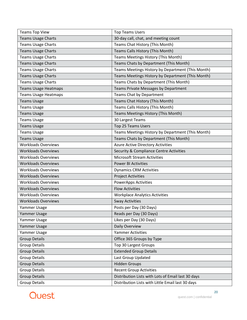| <b>Teams Top View</b>       | <b>Top Teams Users</b>                             |  |
|-----------------------------|----------------------------------------------------|--|
| <b>Teams Usage Charts</b>   | 30-day call, chat, and meeting count               |  |
| <b>Teams Usage Charts</b>   | Teams Chat History (This Month)                    |  |
| <b>Teams Usage Charts</b>   | Teams Calls History (This Month)                   |  |
| <b>Teams Usage Charts</b>   | Teams Meetings History (This Month)                |  |
| <b>Teams Usage Charts</b>   | Teams Chats by Department (This Month)             |  |
| <b>Teams Usage Charts</b>   | Teams Meetings History by Department (This Month)  |  |
| <b>Teams Usage Charts</b>   | Teams Meetings History by Department (This Month)  |  |
| <b>Teams Usage Charts</b>   | Teams Chats by Department (This Month)             |  |
| <b>Teams Usage Heatmaps</b> | Teams Private Messages by Department               |  |
| <b>Teams Usage Heatmaps</b> | Teams Chat by Department                           |  |
| <b>Teams Usage</b>          | Teams Chat History (This Month)                    |  |
| <b>Teams Usage</b>          | Teams Calls History (This Month)                   |  |
| <b>Teams Usage</b>          | Teams Meetings History (This Month)                |  |
| <b>Teams Usage</b>          | 30 Largest Teams                                   |  |
| <b>Teams Usage</b>          | <b>Top 25 Teams Users</b>                          |  |
| <b>Teams Usage</b>          | Teams Meetings History by Department (This Month)  |  |
| <b>Teams Usage</b>          | Teams Chats by Department (This Month)             |  |
| <b>Workloads Overviews</b>  | Azure Active Directory Activities                  |  |
| <b>Workloads Overviews</b>  | <b>Security &amp; Compliance Centre Activities</b> |  |
| <b>Workloads Overviews</b>  | <b>Microsoft Stream Activities</b>                 |  |
| <b>Workloads Overviews</b>  | <b>Power BI Activities</b>                         |  |
| <b>Workloads Overviews</b>  | <b>Dynamics CRM Activities</b>                     |  |
| <b>Workloads Overviews</b>  | <b>Project Activities</b>                          |  |
| <b>Workloads Overviews</b>  | <b>PowerApps Activities</b>                        |  |
| <b>Workloads Overviews</b>  | <b>Flow Activities</b>                             |  |
| <b>Workloads Overviews</b>  | <b>Workplace Analytics Activities</b>              |  |
| <b>Workloads Overviews</b>  | <b>Sway Activities</b>                             |  |
| Yammer Usage                | Posts per Day (30 Days)                            |  |
| Yammer Usage                | Reads per Day (30 Days)                            |  |
| Yammer Usage                | Likes per Day (30 Days)                            |  |
| Yammer Usage                | Daily Overview                                     |  |
| Yammer Usage                | <b>Yammer Activities</b>                           |  |
| <b>Group Details</b>        | Office 365 Groups by Type                          |  |
| <b>Group Details</b>        | <b>Top 30 Largest Groups</b>                       |  |
| <b>Group Details</b>        | <b>Extended Group Details</b>                      |  |
| <b>Group Details</b>        | Last Group Updated                                 |  |
| <b>Group Details</b>        | <b>Hidden Groups</b>                               |  |
| <b>Group Details</b>        | <b>Recent Group Activities</b>                     |  |
| <b>Group Details</b>        | Distribution Lists with Lots of Email last 30 days |  |
| <b>Group Details</b>        | Distribution Lists with Little Email last 30 days  |  |

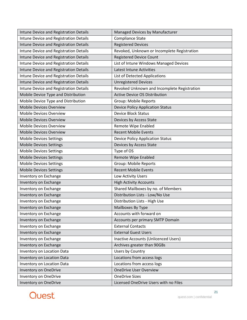| Intune Device and Registration Details | Managed Devices by Manufacturer             |  |  |
|----------------------------------------|---------------------------------------------|--|--|
| Intune Device and Registration Details | Compliance State                            |  |  |
| Intune Device and Registration Details | <b>Registered Devices</b>                   |  |  |
| Intune Device and Registration Details | Revoked, Unknown or Incomplete Registration |  |  |
| Intune Device and Registration Details | <b>Registered Device Count</b>              |  |  |
| Intune Device and Registration Details | List of Intune Windows Managed Devices      |  |  |
| Intune Device and Registration Details | <b>Latest Intune Activities</b>             |  |  |
| Intune Device and Registration Details | List of Detected Applications               |  |  |
| Intune Device and Registration Details | <b>Unregistered Devices</b>                 |  |  |
| Intune Device and Registration Details | Revoked Unknown and Incomplete Registration |  |  |
| Mobile Device Type and Distribution    | <b>Active Device OS Distribution</b>        |  |  |
| Mobile Device Type and Distribution    | <b>Group: Mobile Reports</b>                |  |  |
| <b>Mobile Devices Overview</b>         | <b>Device Policy Application Status</b>     |  |  |
| <b>Mobile Devices Overview</b>         | <b>Device Block Status</b>                  |  |  |
| <b>Mobile Devices Overview</b>         | Devices by Access State                     |  |  |
| <b>Mobile Devices Overview</b>         | Remote Wipe Enabled                         |  |  |
| <b>Mobile Devices Overview</b>         | <b>Recent Mobile Events</b>                 |  |  |
| <b>Mobile Devices Settings</b>         | <b>Device Policy Application Status</b>     |  |  |
| <b>Mobile Devices Settings</b>         | Devices by Access State                     |  |  |
| <b>Mobile Devices Settings</b>         | Type of OS                                  |  |  |
| <b>Mobile Devices Settings</b>         | Remote Wipe Enabled                         |  |  |
| <b>Mobile Devices Settings</b>         | <b>Group: Mobile Reports</b>                |  |  |
| <b>Mobile Devices Settings</b>         | <b>Recent Mobile Events</b>                 |  |  |
| Inventory on Exchange                  | Low Activity Users                          |  |  |
| Inventory on Exchange                  | <b>High Activity Accounts</b>               |  |  |
| Inventory on Exchange                  | Shared Mailboxes by no. of Members          |  |  |
| Inventory on Exchange                  | Distribution Lists - Low/No Use             |  |  |
| Inventory on Exchange                  | Distribution Lists - High Use               |  |  |
| Inventory on Exchange                  | Mailboxes By Type                           |  |  |
| Inventory on Exchange                  | Accounts with forward on                    |  |  |
| Inventory on Exchange                  | Accounts per primary SMTP Domain            |  |  |
| Inventory on Exchange                  | <b>External Contacts</b>                    |  |  |
| Inventory on Exchange                  | <b>External Guest Users</b>                 |  |  |
| Inventory on Exchange                  | Inactive Accounts (Unlicenced Users)        |  |  |
| Inventory on Exchange                  | Archives greater than 90GBs                 |  |  |
| Inventory on Location Data             | Users by Country                            |  |  |
| Inventory on Location Data             | Locations from access logs                  |  |  |
| Inventory on Location Data             | Locations from access logs                  |  |  |
| <b>Inventory on OneDrive</b>           | <b>OneDrive User Overview</b>               |  |  |
| Inventory on OneDrive                  | <b>OneDrive Sizes</b>                       |  |  |
| <b>Inventory on OneDrive</b>           | Licensed OneDrive Users with no Files       |  |  |

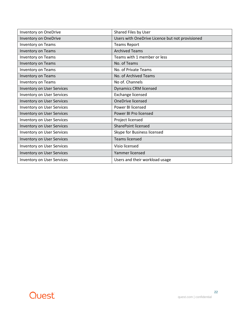| Inventory on OneDrive             | Shared Files by User                            |  |
|-----------------------------------|-------------------------------------------------|--|
| Inventory on OneDrive             | Users with OneDrive Licence but not provisioned |  |
| Inventory on Teams                | <b>Teams Report</b>                             |  |
| <b>Inventory on Teams</b>         | <b>Archived Teams</b>                           |  |
| Inventory on Teams                | Teams with 1 member or less                     |  |
| Inventory on Teams                | No. of Teams                                    |  |
| Inventory on Teams                | No. of Private Teams                            |  |
| Inventory on Teams                | No. of Archived Teams                           |  |
| Inventory on Teams                | No of. Channels                                 |  |
| <b>Inventory on User Services</b> | <b>Dynamics CRM licensed</b>                    |  |
| <b>Inventory on User Services</b> | Exchange licensed                               |  |
| <b>Inventory on User Services</b> | <b>OneDrive licensed</b>                        |  |
| <b>Inventory on User Services</b> | Power BI licensed                               |  |
| <b>Inventory on User Services</b> | Power BI Pro licensed                           |  |
| <b>Inventory on User Services</b> | Project licensed                                |  |
| <b>Inventory on User Services</b> | <b>SharePoint licensed</b>                      |  |
| <b>Inventory on User Services</b> | Skype for Business licensed                     |  |
| <b>Inventory on User Services</b> | <b>Teams licensed</b>                           |  |
| <b>Inventory on User Services</b> | Visio licensed                                  |  |
| <b>Inventory on User Services</b> | Yammer licensed                                 |  |
| <b>Inventory on User Services</b> | Users and their workload usage                  |  |

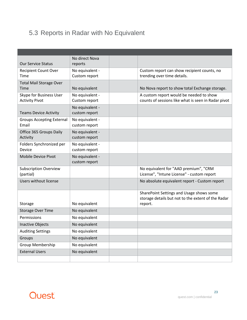### <span id="page-22-0"></span>5.3 Reports in Radar with No Equivalent

|                                           | No direct Nova                   |                                                     |
|-------------------------------------------|----------------------------------|-----------------------------------------------------|
| <b>Our Service Status</b>                 | reports                          |                                                     |
| <b>Recipient Count Over</b>               | No equivalent -                  | Custom report can show recipient counts, no         |
| Time                                      | Custom report                    | trending over time details.                         |
| <b>Total Mail Storage Over</b>            |                                  |                                                     |
| Time                                      | No equivalent                    | No Nova report to show total Exchange storage.      |
| Skype for Business User                   | No equivalent -                  | A custom report would be needed to show             |
| <b>Activity Pivot</b>                     | Custom report                    | counts of sessions like what is seen in Radar pivot |
|                                           | No equivalent -                  |                                                     |
| <b>Teams Device Activity</b>              | custom report                    |                                                     |
| <b>Groups Accepting External</b><br>Email | No equivalent -<br>custom report |                                                     |
|                                           |                                  |                                                     |
| Office 365 Groups Daily<br>Activity       | No equivalent -<br>custom report |                                                     |
| Folders Synchronized per                  | No equivalent -                  |                                                     |
| Device                                    | custom report                    |                                                     |
| Mobile Device Pivot                       | No equivalent -                  |                                                     |
|                                           | custom report                    |                                                     |
| <b>Subscription Overview</b>              |                                  | No equivalent for "AAD premium", "CRM               |
| (partial)                                 |                                  | License", "Intune License" - custom report          |
| <b>Users without license</b>              |                                  | No absolute equivalent report - Custom report       |
|                                           |                                  |                                                     |
|                                           |                                  | SharePoint Settings and Usage shows some            |
|                                           |                                  | storage details but not to the extent of the Radar  |
| Storage                                   | No equivalent                    | report.                                             |
| <b>Storage Over Time</b>                  | No equivalent                    |                                                     |
| Permissions                               | No equivalent                    |                                                     |
| <b>Inactive Objects</b>                   | No equivalent                    |                                                     |
| <b>Auditing Settings</b>                  | No equivalent                    |                                                     |
| Groups                                    | No equivalent                    |                                                     |
| <b>Group Membership</b>                   | No equivalent                    |                                                     |
| <b>External Users</b>                     | No equivalent                    |                                                     |
|                                           |                                  |                                                     |

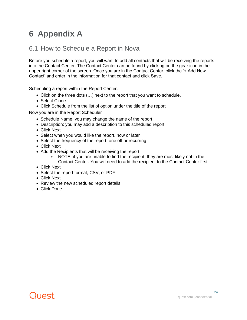# <span id="page-23-0"></span>**6 Appendix A**

#### <span id="page-23-1"></span>6.1 How to Schedule a Report in Nova

Before you schedule a report, you will want to add all contacts that will be receiving the reports into the Contact Center. The Contact Center can be found by clicking on the gear icon in the upper right corner of the screen. Once you are in the Contact Center, click the '+ Add New Contact' and enter in the information for that contact and click Save.

Scheduling a report within the Report Center.

- Click on the three dots (…) next to the report that you want to schedule.
- Select Clone
- Click Schedule from the list of option under the title of the report

Now you are in the Report Scheduler

- Schedule Name: you may change the name of the report
- Description: you may add a description to this scheduled report
- Click Next
- Select when you would like the report, now or later
- Select the frequency of the report, one off or recurring
- Click Next
- Add the Recipients that will be receiving the report
	- $\circ$  NOTE: if you are unable to find the recipient, they are most likely not in the Contact Center. You will need to add the recipient to the Contact Center first
- Click Next
- Select the report format, CSV, or PDF
- Click Next
- Review the new scheduled report details
- Click Done